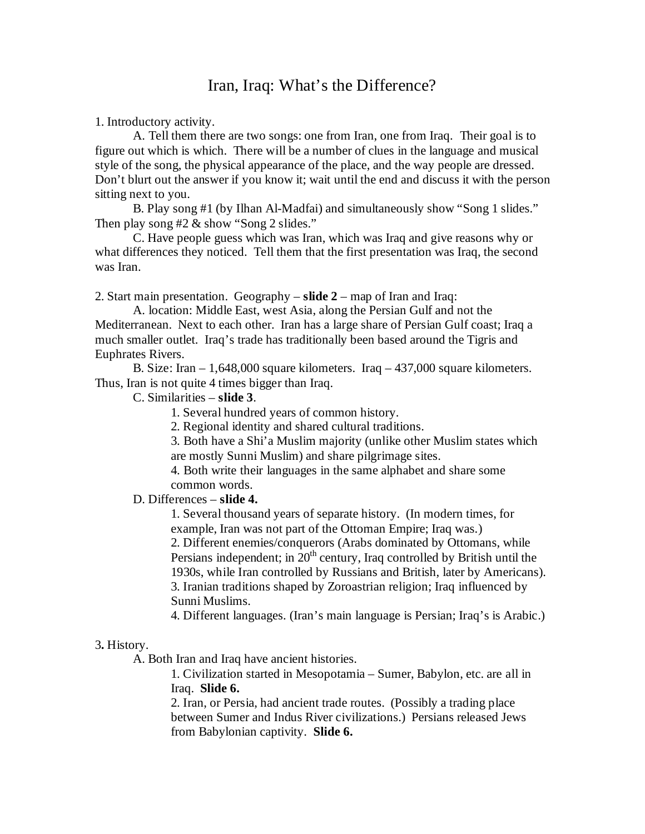## Iran, Iraq: What's the Difference?

1. Introductory activity.

A. Tell them there are two songs: one from Iran, one from Iraq. Their goal is to figure out which is which. There will be a number of clues in the language and musical style of the song, the physical appearance of the place, and the way people are dressed. Don't blurt out the answer if you know it; wait until the end and discuss it with the person sitting next to you.

B. Play song #1 (by Ilhan Al-Madfai) and simultaneously show "Song 1 slides." Then play song  $#2 \&$  show "Song 2 slides."

C. Have people guess which was Iran, which was Iraq and give reasons why or what differences they noticed. Tell them that the first presentation was Iraq, the second was Iran.

2. Start main presentation. Geography – **slide 2** – map of Iran and Iraq:

A. location: Middle East, west Asia, along the Persian Gulf and not the Mediterranean. Next to each other. Iran has a large share of Persian Gulf coast; Iraq a much smaller outlet. Iraq's trade has traditionally been based around the Tigris and Euphrates Rivers.

B. Size: Iran – 1,648,000 square kilometers. Iraq – 437,000 square kilometers. Thus, Iran is not quite 4 times bigger than Iraq.

C. Similarities – **slide 3**.

1. Several hundred years of common history.

2. Regional identity and shared cultural traditions.

3. Both have a Shi'a Muslim majority (unlike other Muslim states which are mostly Sunni Muslim) and share pilgrimage sites.

4. Both write their languages in the same alphabet and share some common words.

## D. Differences – **slide 4.**

1. Several thousand years of separate history. (In modern times, for example, Iran was not part of the Ottoman Empire; Iraq was.)

2. Different enemies/conquerors (Arabs dominated by Ottomans, while Persians independent; in  $20<sup>th</sup>$  century, Iraq controlled by British until the 1930s, while Iran controlled by Russians and British, later by Americans). 3. Iranian traditions shaped by Zoroastrian religion; Iraq influenced by Sunni Muslims.

4. Different languages. (Iran's main language is Persian; Iraq's is Arabic.)

## 3**.** History.

A. Both Iran and Iraq have ancient histories.

1. Civilization started in Mesopotamia – Sumer, Babylon, etc. are all in Iraq. **Slide 6.**

2. Iran, or Persia, had ancient trade routes. (Possibly a trading place between Sumer and Indus River civilizations.) Persians released Jews from Babylonian captivity. **Slide 6.**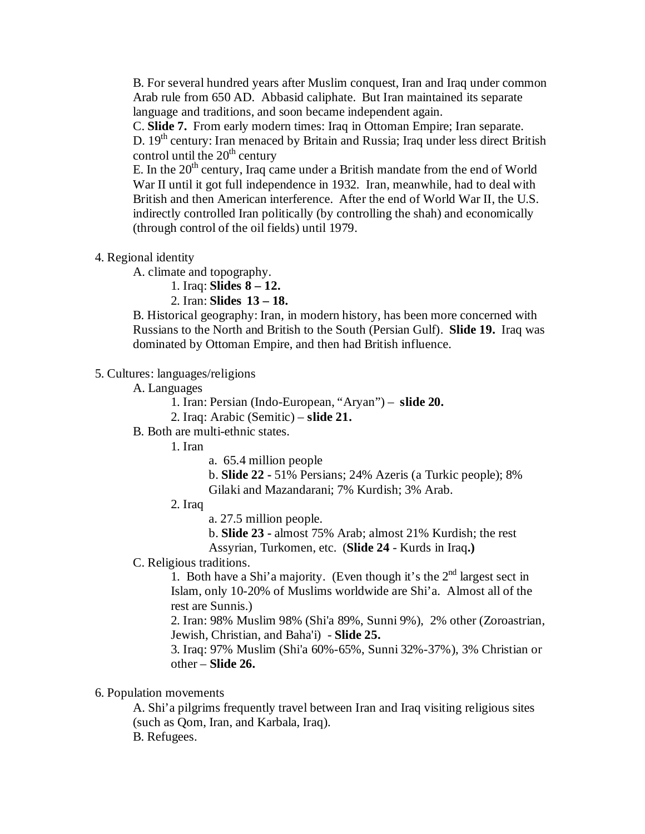B. For several hundred years after Muslim conquest, Iran and Iraq under common Arab rule from 650 AD. Abbasid caliphate. But Iran maintained its separate language and traditions, and soon became independent again.

C. **Slide 7.** From early modern times: Iraq in Ottoman Empire; Iran separate. D. 19<sup>th</sup> century: Iran menaced by Britain and Russia; Iraq under less direct British control until the  $20<sup>th</sup>$  century

E. In the  $20<sup>th</sup>$  century, Iraq came under a British mandate from the end of World War II until it got full independence in 1932. Iran, meanwhile, had to deal with British and then American interference. After the end of World War II, the U.S. indirectly controlled Iran politically (by controlling the shah) and economically (through control of the oil fields) until 1979.

4. Regional identity

A. climate and topography.

1. Iraq: **Slides 8 – 12.** 

2. Iran: **Slides 13 – 18.**

B. Historical geography: Iran, in modern history, has been more concerned with Russians to the North and British to the South (Persian Gulf). **Slide 19.** Iraq was dominated by Ottoman Empire, and then had British influence.

5. Cultures: languages/religions

A. Languages

1. Iran: Persian (Indo-European, "Aryan") – **slide 20.**

2. Iraq: Arabic (Semitic) – **slide 21.**

B. Both are multi-ethnic states.

1. Iran

a. 65.4 million people

b. **Slide 22 -** 51% Persians; 24% Azeris (a Turkic people); 8% Gilaki and Mazandarani; 7% Kurdish; 3% Arab.

2. Iraq

a. 27.5 million people.

b. **Slide 23 -** almost 75% Arab; almost 21% Kurdish; the rest Assyrian, Turkomen, etc. (**Slide 24** - Kurds in Iraq**.)**

C. Religious traditions.

1. Both have a Shi'a majority. (Even though it's the  $2<sup>nd</sup>$  largest sect in Islam, only 10-20% of Muslims worldwide are Shi'a. Almost all of the rest are Sunnis.)

2. Iran: 98% Muslim 98% (Shi'a 89%, Sunni 9%), 2% other (Zoroastrian, Jewish, Christian, and Baha'i) - **Slide 25.**

3. Iraq: 97% Muslim (Shi'a 60%-65%, Sunni 32%-37%), 3% Christian or other – **Slide 26.**

6. Population movements

A. Shi'a pilgrims frequently travel between Iran and Iraq visiting religious sites (such as Qom, Iran, and Karbala, Iraq). B. Refugees.